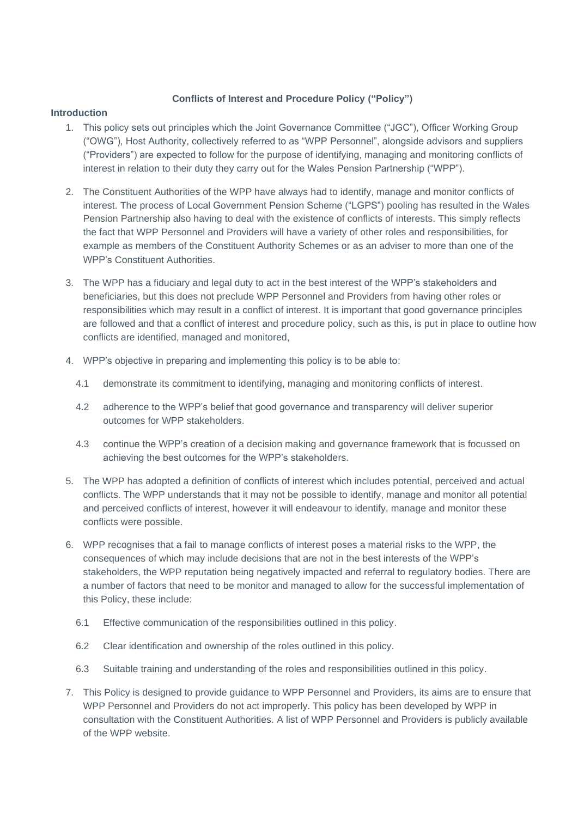# **Conflicts of Interest and Procedure Policy ("Policy")**

### **Introduction**

- 1. This policy sets out principles which the Joint Governance Committee ("JGC"), Officer Working Group ("OWG"), Host Authority, collectively referred to as "WPP Personnel", alongside advisors and suppliers ("Providers") are expected to follow for the purpose of identifying, managing and monitoring conflicts of interest in relation to their duty they carry out for the Wales Pension Partnership ("WPP").
- 2. The Constituent Authorities of the WPP have always had to identify, manage and monitor conflicts of interest. The process of Local Government Pension Scheme ("LGPS") pooling has resulted in the Wales Pension Partnership also having to deal with the existence of conflicts of interests. This simply reflects the fact that WPP Personnel and Providers will have a variety of other roles and responsibilities, for example as members of the Constituent Authority Schemes or as an adviser to more than one of the WPP's Constituent Authorities.
- 3. The WPP has a fiduciary and legal duty to act in the best interest of the WPP's stakeholders and beneficiaries, but this does not preclude WPP Personnel and Providers from having other roles or responsibilities which may result in a conflict of interest. It is important that good governance principles are followed and that a conflict of interest and procedure policy, such as this, is put in place to outline how conflicts are identified, managed and monitored,
- 4. WPP's objective in preparing and implementing this policy is to be able to:
	- 4.1 demonstrate its commitment to identifying, managing and monitoring conflicts of interest.
	- 4.2 adherence to the WPP's belief that good governance and transparency will deliver superior outcomes for WPP stakeholders.
	- 4.3 continue the WPP's creation of a decision making and governance framework that is focussed on achieving the best outcomes for the WPP's stakeholders.
- 5. The WPP has adopted a definition of conflicts of interest which includes potential, perceived and actual conflicts. The WPP understands that it may not be possible to identify, manage and monitor all potential and perceived conflicts of interest, however it will endeavour to identify, manage and monitor these conflicts were possible.
- 6. WPP recognises that a fail to manage conflicts of interest poses a material risks to the WPP, the consequences of which may include decisions that are not in the best interests of the WPP's stakeholders, the WPP reputation being negatively impacted and referral to regulatory bodies. There are a number of factors that need to be monitor and managed to allow for the successful implementation of this Policy, these include:
	- 6.1 Effective communication of the responsibilities outlined in this policy.
	- 6.2 Clear identification and ownership of the roles outlined in this policy.
	- 6.3 Suitable training and understanding of the roles and responsibilities outlined in this policy.
- 7. This Policy is designed to provide guidance to WPP Personnel and Providers, its aims are to ensure that WPP Personnel and Providers do not act improperly. This policy has been developed by WPP in consultation with the Constituent Authorities. A list of WPP Personnel and Providers is publicly available of the WPP website.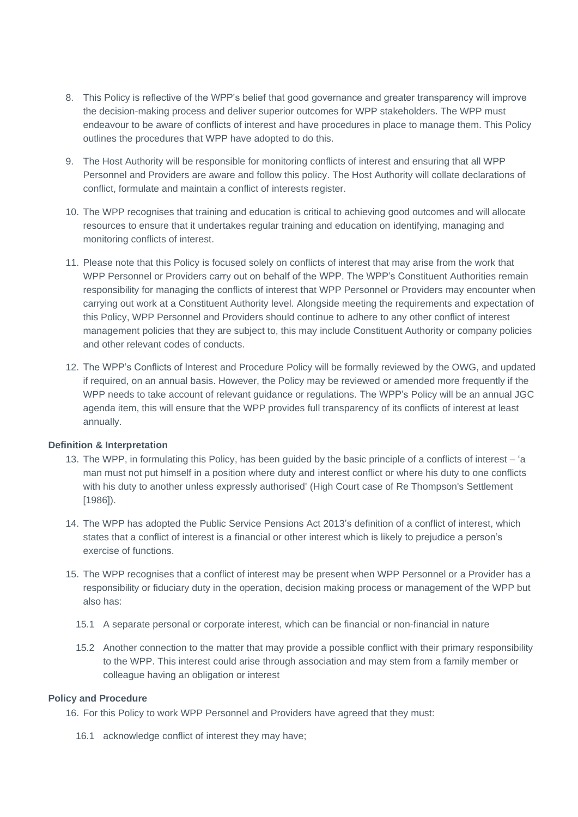- 8. This Policy is reflective of the WPP's belief that good governance and greater transparency will improve the decision-making process and deliver superior outcomes for WPP stakeholders. The WPP must endeavour to be aware of conflicts of interest and have procedures in place to manage them. This Policy outlines the procedures that WPP have adopted to do this.
- 9. The Host Authority will be responsible for monitoring conflicts of interest and ensuring that all WPP Personnel and Providers are aware and follow this policy. The Host Authority will collate declarations of conflict, formulate and maintain a conflict of interests register.
- 10. The WPP recognises that training and education is critical to achieving good outcomes and will allocate resources to ensure that it undertakes regular training and education on identifying, managing and monitoring conflicts of interest.
- 11. Please note that this Policy is focused solely on conflicts of interest that may arise from the work that WPP Personnel or Providers carry out on behalf of the WPP. The WPP's Constituent Authorities remain responsibility for managing the conflicts of interest that WPP Personnel or Providers may encounter when carrying out work at a Constituent Authority level. Alongside meeting the requirements and expectation of this Policy, WPP Personnel and Providers should continue to adhere to any other conflict of interest management policies that they are subject to, this may include Constituent Authority or company policies and other relevant codes of conducts.
- 12. The WPP's Conflicts of Interest and Procedure Policy will be formally reviewed by the OWG, and updated if required, on an annual basis. However, the Policy may be reviewed or amended more frequently if the WPP needs to take account of relevant guidance or regulations. The WPP's Policy will be an annual JGC agenda item, this will ensure that the WPP provides full transparency of its conflicts of interest at least annually.

#### **Definition & Interpretation**

- 13. The WPP, in formulating this Policy, has been guided by the basic principle of a conflicts of interest 'a man must not put himself in a position where duty and interest conflict or where his duty to one conflicts with his duty to another unless expressly authorised' (High Court case of Re Thompson's Settlement [1986]).
- 14. The WPP has adopted the Public Service Pensions Act 2013's definition of a conflict of interest, which states that a conflict of interest is a financial or other interest which is likely to prejudice a person's exercise of functions.
- 15. The WPP recognises that a conflict of interest may be present when WPP Personnel or a Provider has a responsibility or fiduciary duty in the operation, decision making process or management of the WPP but also has:
	- 15.1 A separate personal or corporate interest, which can be financial or non-financial in nature
	- 15.2 Another connection to the matter that may provide a possible conflict with their primary responsibility to the WPP. This interest could arise through association and may stem from a family member or colleague having an obligation or interest

#### **Policy and Procedure**

16. For this Policy to work WPP Personnel and Providers have agreed that they must:

16.1 acknowledge conflict of interest they may have;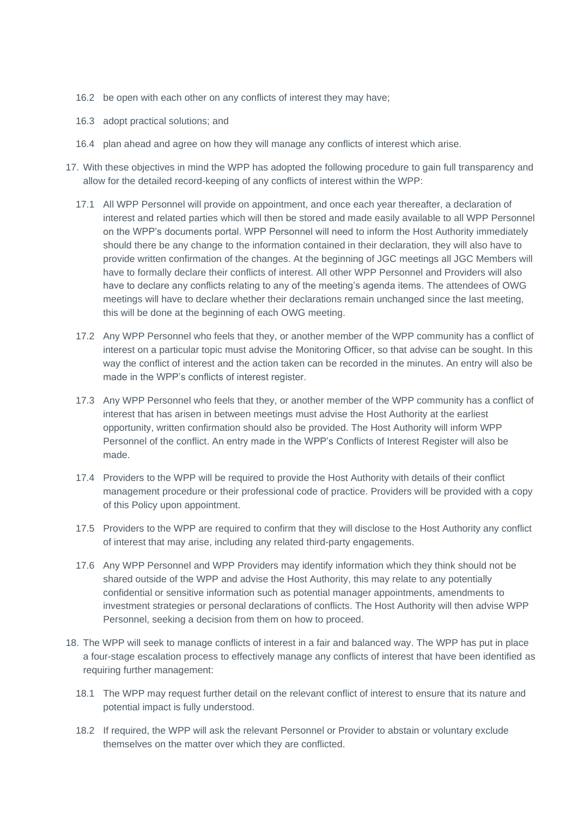- 16.2 be open with each other on any conflicts of interest they may have;
- 16.3 adopt practical solutions; and
- 16.4 plan ahead and agree on how they will manage any conflicts of interest which arise.
- 17. With these objectives in mind the WPP has adopted the following procedure to gain full transparency and allow for the detailed record-keeping of any conflicts of interest within the WPP:
	- 17.1 All WPP Personnel will provide on appointment, and once each year thereafter, a declaration of interest and related parties which will then be stored and made easily available to all WPP Personnel on the WPP's documents portal. WPP Personnel will need to inform the Host Authority immediately should there be any change to the information contained in their declaration, they will also have to provide written confirmation of the changes. At the beginning of JGC meetings all JGC Members will have to formally declare their conflicts of interest. All other WPP Personnel and Providers will also have to declare any conflicts relating to any of the meeting's agenda items. The attendees of OWG meetings will have to declare whether their declarations remain unchanged since the last meeting, this will be done at the beginning of each OWG meeting.
	- 17.2 Any WPP Personnel who feels that they, or another member of the WPP community has a conflict of interest on a particular topic must advise the Monitoring Officer, so that advise can be sought. In this way the conflict of interest and the action taken can be recorded in the minutes. An entry will also be made in the WPP's conflicts of interest register.
	- 17.3 Any WPP Personnel who feels that they, or another member of the WPP community has a conflict of interest that has arisen in between meetings must advise the Host Authority at the earliest opportunity, written confirmation should also be provided. The Host Authority will inform WPP Personnel of the conflict. An entry made in the WPP's Conflicts of Interest Register will also be made.
	- 17.4 Providers to the WPP will be required to provide the Host Authority with details of their conflict management procedure or their professional code of practice. Providers will be provided with a copy of this Policy upon appointment.
	- 17.5 Providers to the WPP are required to confirm that they will disclose to the Host Authority any conflict of interest that may arise, including any related third-party engagements.
	- 17.6 Any WPP Personnel and WPP Providers may identify information which they think should not be shared outside of the WPP and advise the Host Authority, this may relate to any potentially confidential or sensitive information such as potential manager appointments, amendments to investment strategies or personal declarations of conflicts. The Host Authority will then advise WPP Personnel, seeking a decision from them on how to proceed.
- 18. The WPP will seek to manage conflicts of interest in a fair and balanced way. The WPP has put in place a four-stage escalation process to effectively manage any conflicts of interest that have been identified as requiring further management:
	- 18.1 The WPP may request further detail on the relevant conflict of interest to ensure that its nature and potential impact is fully understood.
	- 18.2 If required, the WPP will ask the relevant Personnel or Provider to abstain or voluntary exclude themselves on the matter over which they are conflicted.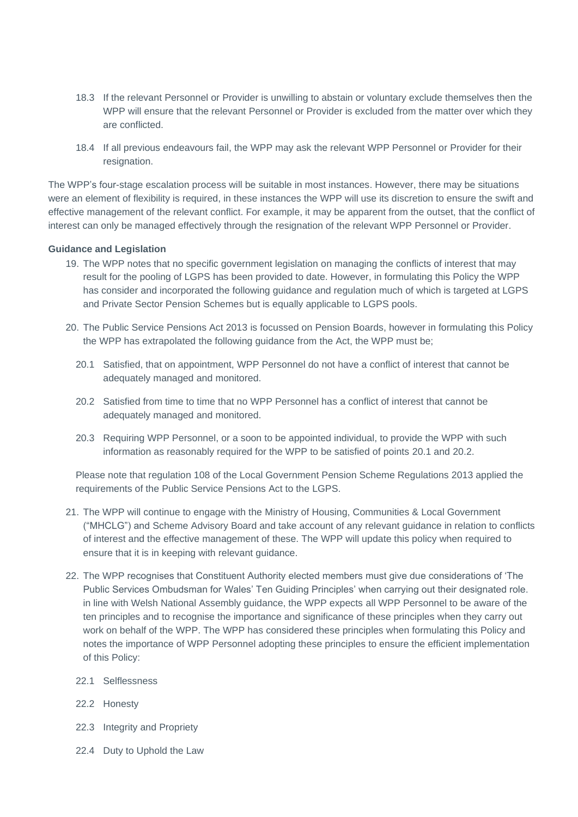- 18.3 If the relevant Personnel or Provider is unwilling to abstain or voluntary exclude themselves then the WPP will ensure that the relevant Personnel or Provider is excluded from the matter over which they are conflicted.
- 18.4 If all previous endeavours fail, the WPP may ask the relevant WPP Personnel or Provider for their resignation.

The WPP's four-stage escalation process will be suitable in most instances. However, there may be situations were an element of flexibility is required, in these instances the WPP will use its discretion to ensure the swift and effective management of the relevant conflict. For example, it may be apparent from the outset, that the conflict of interest can only be managed effectively through the resignation of the relevant WPP Personnel or Provider.

## **Guidance and Legislation**

- 19. The WPP notes that no specific government legislation on managing the conflicts of interest that may result for the pooling of LGPS has been provided to date. However, in formulating this Policy the WPP has consider and incorporated the following guidance and regulation much of which is targeted at LGPS and Private Sector Pension Schemes but is equally applicable to LGPS pools.
- 20. The Public Service Pensions Act 2013 is focussed on Pension Boards, however in formulating this Policy the WPP has extrapolated the following guidance from the Act, the WPP must be;
	- 20.1 Satisfied, that on appointment, WPP Personnel do not have a conflict of interest that cannot be adequately managed and monitored.
	- 20.2 Satisfied from time to time that no WPP Personnel has a conflict of interest that cannot be adequately managed and monitored.
	- 20.3 Requiring WPP Personnel, or a soon to be appointed individual, to provide the WPP with such information as reasonably required for the WPP to be satisfied of points 20.1 and 20.2.

Please note that regulation 108 of the Local Government Pension Scheme Regulations 2013 applied the requirements of the Public Service Pensions Act to the LGPS.

- 21. The WPP will continue to engage with the Ministry of Housing, Communities & Local Government ("MHCLG") and Scheme Advisory Board and take account of any relevant guidance in relation to conflicts of interest and the effective management of these. The WPP will update this policy when required to ensure that it is in keeping with relevant guidance.
- 22. The WPP recognises that Constituent Authority elected members must give due considerations of 'The Public Services Ombudsman for Wales' Ten Guiding Principles' when carrying out their designated role. in line with Welsh National Assembly guidance, the WPP expects all WPP Personnel to be aware of the ten principles and to recognise the importance and significance of these principles when they carry out work on behalf of the WPP. The WPP has considered these principles when formulating this Policy and notes the importance of WPP Personnel adopting these principles to ensure the efficient implementation of this Policy:
	- 22.1 Selflessness
	- 22.2 Honesty
	- 22.3 Integrity and Propriety
	- 22.4 Duty to Uphold the Law